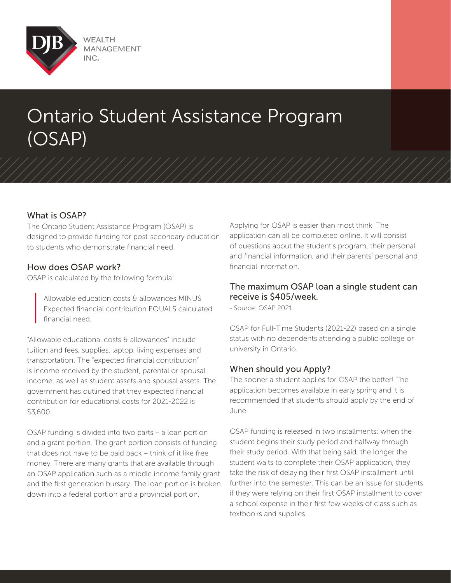

# Ontario Student Assistance Program (OSAP)

## What is OSAP?

The Ontario Student Assistance Program (OSAP) is designed to provide funding for post-secondary education to students who demonstrate financial need.

#### How does OSAP work?

OSAP is calculated by the following formula:

Allowable education costs & allowances MINUS Expected financial contribution EQUALS calculated financial need.

"Allowable educational costs & allowances" include tuition and fees, supplies, laptop, living expenses and transportation. The "expected financial contribution" is income received by the student, parental or spousal income, as well as student assets and spousal assets. The government has outlined that they expected financial contribution for educational costs for 2021-2022 is \$3,600.

OSAP funding is divided into two parts – a loan portion and a grant portion. The grant portion consists of funding that does not have to be paid back – think of it like free money. There are many grants that are available through an OSAP application such as a middle income family grant and the first generation bursary. The loan portion is broken down into a federal portion and a provincial portion.

Applying for OSAP is easier than most think. The application can all be completed online. It will consist of questions about the student's program, their personal and financial information, and their parents' personal and financial information.

### The maximum OSAP loan a single student can receive is \$405/week.

- Source: OSAP 2021

OSAP for Full-Time Students (2021-22) based on a single status with no dependents attending a public college or university in Ontario.

### When should you Apply?

The sooner a student applies for OSAP the better! The application becomes available in early spring and it is recommended that students should apply by the end of June.

OSAP funding is released in two installments: when the student begins their study period and halfway through their study period. With that being said, the longer the student waits to complete their OSAP application, they take the risk of delaying their first OSAP installment until further into the semester. This can be an issue for students if they were relying on their first OSAP installment to cover a school expense in their first few weeks of class such as textbooks and supplies.